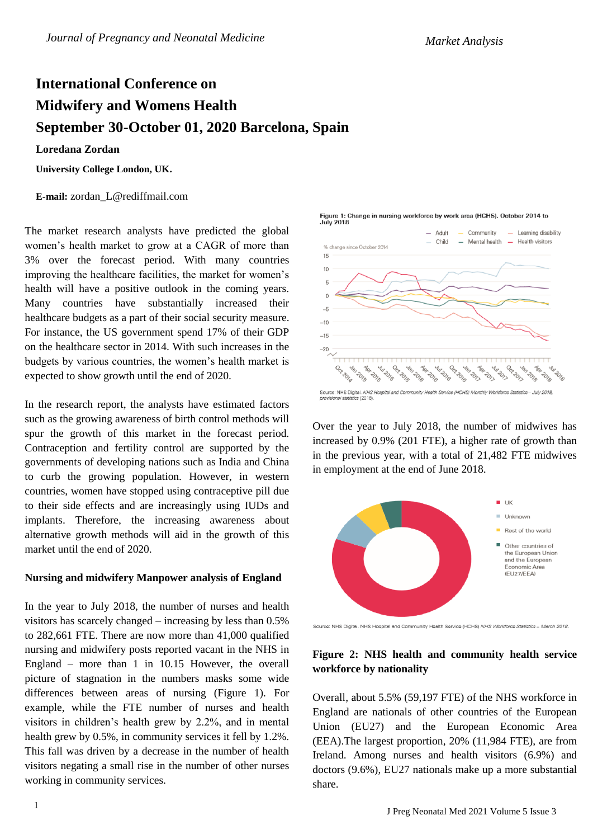# **International Conference on Midwifery and Womens Health September 30-October 01, 2020 Barcelona, Spain**

#### **Loredana Zordan**

**University College London, UK.** 

**E-mail:** zordan\_L@rediffmail.com

The market research analysts have predicted the global women's health market to grow at a CAGR of more than 3% over the forecast period. With many countries improving the healthcare facilities, the market for women's health will have a positive outlook in the coming years. Many countries have substantially increased their healthcare budgets as a part of their social security measure. For instance, the US government spend 17% of their GDP on the healthcare sector in 2014. With such increases in the budgets by various countries, the women's health market is expected to show growth until the end of 2020.

In the research report, the analysts have estimated factors such as the growing awareness of birth control methods will spur the growth of this market in the forecast period. Contraception and fertility control are supported by the governments of developing nations such as India and China to curb the growing population. However, in western countries, women have stopped using contraceptive pill due to their side effects and are increasingly using IUDs and implants. Therefore, the increasing awareness about alternative growth methods will aid in the growth of this market until the end of 2020.

#### **Nursing and midwifery Manpower analysis of England**

In the year to July 2018, the number of nurses and health visitors has scarcely changed – increasing by less than 0.5% to 282,661 FTE. There are now more than 41,000 qualified nursing and midwifery posts reported vacant in the NHS in England – more than 1 in 10.15 However, the overall picture of stagnation in the numbers masks some wide differences between areas of nursing (Figure 1). For example, while the FTE number of nurses and health visitors in children's health grew by 2.2%, and in mental health grew by 0.5%, in community services it fell by 1.2%. This fall was driven by a decrease in the number of health visitors negating a small rise in the number of other nurses working in community services.



Figure 1: Change in nursing workforce by work area (HCHS), October 2014 to

Over the year to July 2018, the number of midwives has increased by 0.9% (201 FTE), a higher rate of growth than in the previous year, with a total of 21,482 FTE midwives in employment at the end of June 2018.



Source: NHS Digital. NHS Hospital and Community Health Service (HCHS) NHS Workforce Statistics - March 2018.

# **Figure 2: NHS health and community health service workforce by nationality**

Overall, about 5.5% (59,197 FTE) of the NHS workforce in England are nationals of other countries of the European Union (EU27) and the European Economic Area (EEA).The largest proportion, 20% (11,984 FTE), are from Ireland. Among nurses and health visitors (6.9%) and doctors (9.6%), EU27 nationals make up a more substantial share.